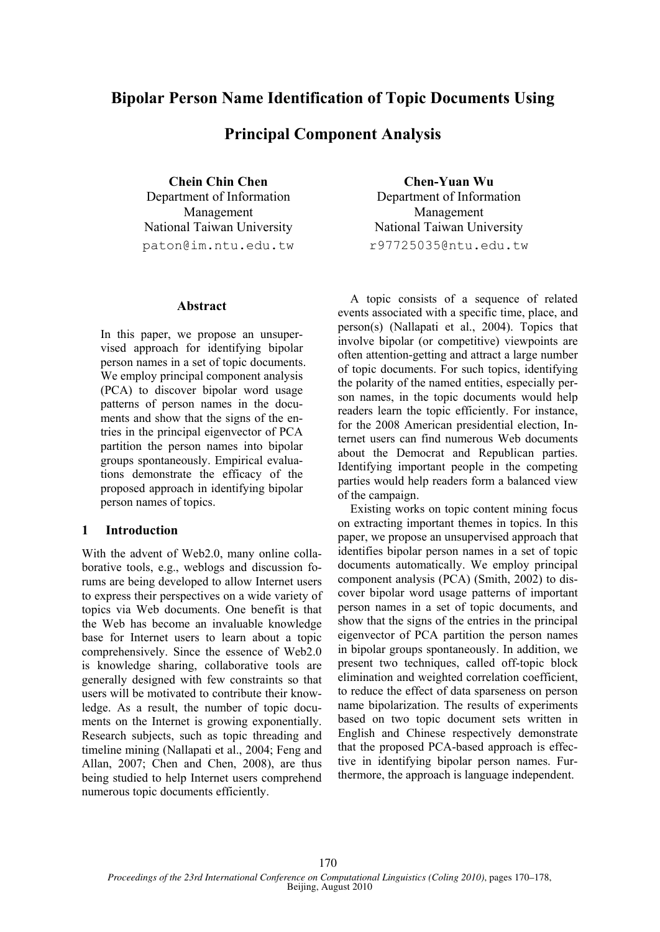# **Bipolar Person Name Identification of Topic Documents Using**

# **Principal Component Analysis**

**Chein Chin Chen**  Department of Information Management National Taiwan University paton@im.ntu.edu.tw

## **Abstract**

In this paper, we propose an unsupervised approach for identifying bipolar person names in a set of topic documents. We employ principal component analysis (PCA) to discover bipolar word usage patterns of person names in the documents and show that the signs of the entries in the principal eigenvector of PCA partition the person names into bipolar groups spontaneously. Empirical evaluations demonstrate the efficacy of the proposed approach in identifying bipolar person names of topics.

# **1 Introduction**

With the advent of Web2.0, many online collaborative tools, e.g., weblogs and discussion forums are being developed to allow Internet users to express their perspectives on a wide variety of topics via Web documents. One benefit is that the Web has become an invaluable knowledge base for Internet users to learn about a topic comprehensively. Since the essence of Web2.0 is knowledge sharing, collaborative tools are generally designed with few constraints so that users will be motivated to contribute their knowledge. As a result, the number of topic documents on the Internet is growing exponentially. Research subjects, such as topic threading and timeline mining (Nallapati et al., 2004; Feng and Allan, 2007; Chen and Chen, 2008), are thus being studied to help Internet users comprehend numerous topic documents efficiently.

**Chen-Yuan Wu**  Department of Information Management National Taiwan University r97725035@ntu.edu.tw

A topic consists of a sequence of related events associated with a specific time, place, and person(s) (Nallapati et al., 2004). Topics that involve bipolar (or competitive) viewpoints are often attention-getting and attract a large number of topic documents. For such topics, identifying the polarity of the named entities, especially person names, in the topic documents would help readers learn the topic efficiently. For instance, for the 2008 American presidential election, Internet users can find numerous Web documents about the Democrat and Republican parties. Identifying important people in the competing parties would help readers form a balanced view of the campaign.

Existing works on topic content mining focus on extracting important themes in topics. In this paper, we propose an unsupervised approach that identifies bipolar person names in a set of topic documents automatically. We employ principal component analysis (PCA) (Smith, 2002) to discover bipolar word usage patterns of important person names in a set of topic documents, and show that the signs of the entries in the principal eigenvector of PCA partition the person names in bipolar groups spontaneously. In addition, we present two techniques, called off-topic block elimination and weighted correlation coefficient, to reduce the effect of data sparseness on person name bipolarization. The results of experiments based on two topic document sets written in English and Chinese respectively demonstrate that the proposed PCA-based approach is effective in identifying bipolar person names. Furthermore, the approach is language independent.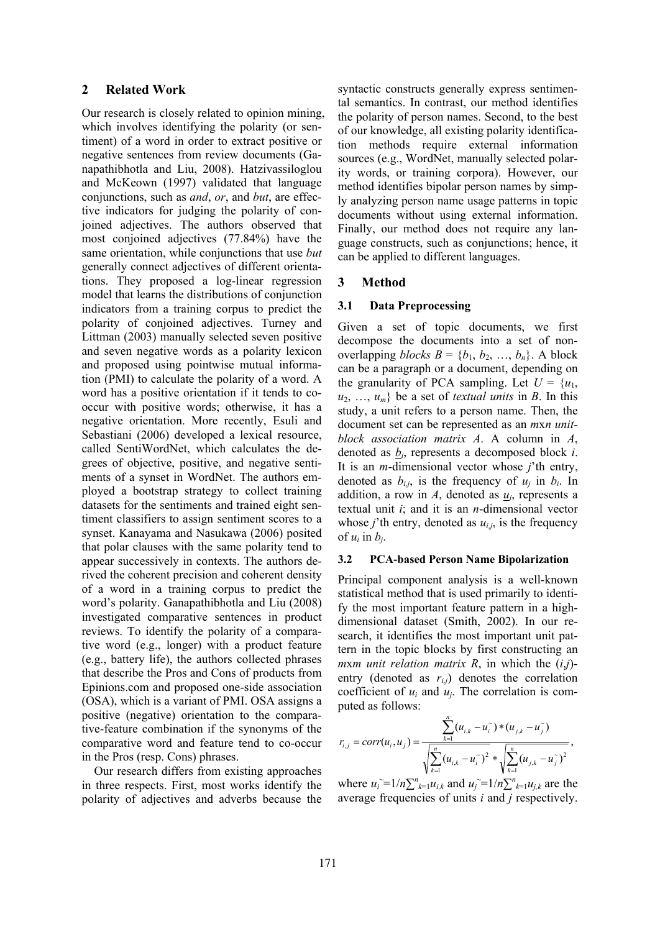#### **2 Related Work**

Our research is closely related to opinion mining, which involves identifying the polarity (or sentiment) of a word in order to extract positive or negative sentences from review documents (Ganapathibhotla and Liu, 2008). Hatzivassiloglou and McKeown (1997) validated that language conjunctions, such as *and*, *or*, and *but*, are effective indicators for judging the polarity of conjoined adjectives. The authors observed that most conjoined adjectives (77.84%) have the same orientation, while conjunctions that use *but* generally connect adjectives of different orientations. They proposed a log-linear regression model that learns the distributions of conjunction indicators from a training corpus to predict the polarity of conjoined adjectives. Turney and Littman (2003) manually selected seven positive and seven negative words as a polarity lexicon and proposed using pointwise mutual information (PMI) to calculate the polarity of a word. A word has a positive orientation if it tends to cooccur with positive words; otherwise, it has a negative orientation. More recently, Esuli and Sebastiani (2006) developed a lexical resource, called SentiWordNet, which calculates the degrees of objective, positive, and negative sentiments of a synset in WordNet. The authors employed a bootstrap strategy to collect training datasets for the sentiments and trained eight sentiment classifiers to assign sentiment scores to a synset. Kanayama and Nasukawa (2006) posited that polar clauses with the same polarity tend to appear successively in contexts. The authors derived the coherent precision and coherent density of a word in a training corpus to predict the word's polarity. Ganapathibhotla and Liu (2008) investigated comparative sentences in product reviews. To identify the polarity of a comparative word (e.g., longer) with a product feature (e.g., battery life), the authors collected phrases that describe the Pros and Cons of products from Epinions.com and proposed one-side association (OSA), which is a variant of PMI. OSA assigns a positive (negative) orientation to the comparative-feature combination if the synonyms of the comparative word and feature tend to co-occur in the Pros (resp. Cons) phrases.

Our research differs from existing approaches in three respects. First, most works identify the polarity of adjectives and adverbs because the syntactic constructs generally express sentimental semantics. In contrast, our method identifies the polarity of person names. Second, to the best of our knowledge, all existing polarity identification methods require external information sources (e.g., WordNet, manually selected polarity words, or training corpora). However, our method identifies bipolar person names by simply analyzing person name usage patterns in topic documents without using external information. Finally, our method does not require any language constructs, such as conjunctions; hence, it can be applied to different languages.

#### **3 Method**

#### **3.1 Data Preprocessing**

Given a set of topic documents, we first decompose the documents into a set of nonoverlapping *blocks*  $B = \{b_1, b_2, ..., b_n\}$ . A block can be a paragraph or a document, depending on the granularity of PCA sampling. Let  $U = \{u_1,$  $u_2, \ldots, u_m$ } be a set of *textual units* in *B*. In this study, a unit refers to a person name. Then, the document set can be represented as an *m*x*n unitblock association matrix A*. A column in *A*, denoted as *bi*, represents a decomposed block *i*. It is an *m*-dimensional vector whose *j*'th entry, denoted as  $b_{i,j}$ , is the frequency of  $u_j$  in  $b_i$ . In addition, a row in  $A$ , denoted as  $u_i$ , represents a textual unit *i*; and it is an *n*-dimensional vector whose *j*'th entry, denoted as  $u_{i,j}$ , is the frequency of  $u_i$  in  $b_i$ .

#### **3.2 PCA-based Person Name Bipolarization**

Principal component analysis is a well-known statistical method that is used primarily to identify the most important feature pattern in a highdimensional dataset (Smith, 2002). In our research, it identifies the most important unit pattern in the topic blocks by first constructing an *m*x*m unit relation matrix R*, in which the (*i*,*j*) entry (denoted as  $r_{i,j}$ ) denotes the correlation coefficient of *ui* and *uj*. The correlation is computed as follows:

$$
r_{i,j} = corr(u_i, u_j) = \frac{\sum_{k=1}^{n} (u_{i,k} - u_i^{\top}) * (u_{j,k} - u_j^{\top})}{\sqrt{\sum_{k=1}^{n} (u_{i,k} - u_i^{\top})^2} * \sqrt{\sum_{k=1}^{n} (u_{j,k} - u_j^{\top})^2}},
$$

where  $u_i = 1/n \sum_{k=1}^n u_{i,k}$  and  $u_j = 1/n \sum_{k=1}^n u_{j,k}$  are the average frequencies of units *i* and *j* respectively.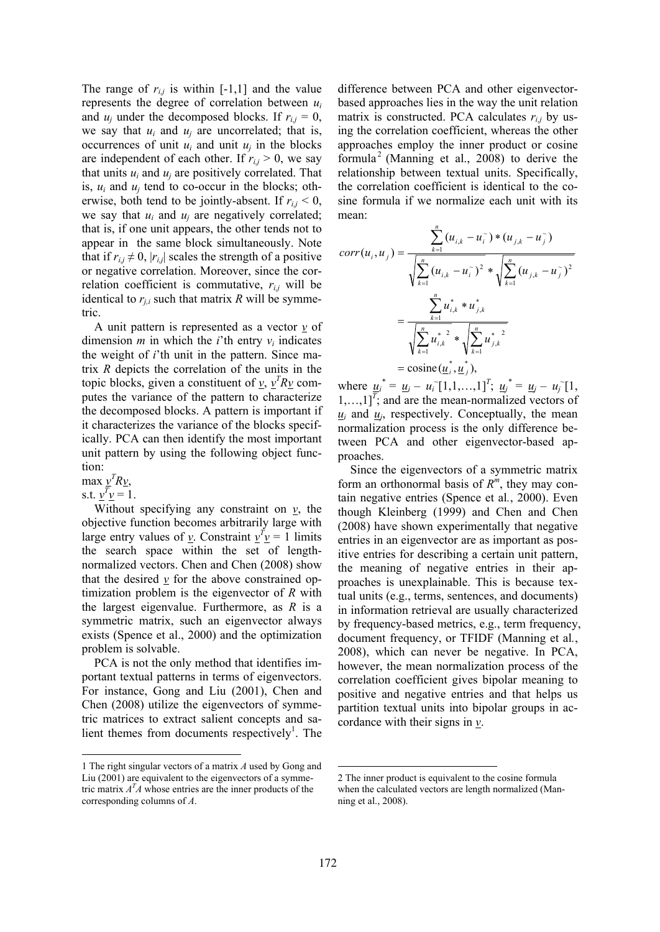The range of  $r_{i,j}$  is within [-1,1] and the value represents the degree of correlation between *ui* and  $u_i$  under the decomposed blocks. If  $r_{i,j} = 0$ , we say that  $u_i$  and  $u_j$  are uncorrelated; that is, occurrences of unit  $u_i$  and unit  $u_j$  in the blocks are independent of each other. If  $r_{i,j} > 0$ , we say that units  $u_i$  and  $u_j$  are positively correlated. That is,  $u_i$  and  $u_j$  tend to co-occur in the blocks; otherwise, both tend to be jointly-absent. If  $r_{i,j} < 0$ , we say that  $u_i$  and  $u_j$  are negatively correlated; that is, if one unit appears, the other tends not to appear in the same block simultaneously. Note that if  $r_{i,j} \neq 0$ ,  $|r_{i,j}|$  scales the strength of a positive or negative correlation. Moreover, since the correlation coefficient is commutative,  $r_{i,j}$  will be identical to  $r_{j,i}$  such that matrix  $R$  will be symmetric.

A unit pattern is represented as a vector  $\gamma$  of dimension *m* in which the *i*'th entry  $v_i$  indicates the weight of *i*'th unit in the pattern. Since matrix *R* depicts the correlation of the units in the topic blocks, given a constituent of  $\underline{v}$ ,  $\underline{v}^T R \underline{v}$  computes the variance of the pattern to characterize the decomposed blocks. A pattern is important if it characterizes the variance of the blocks specifically. PCA can then identify the most important unit pattern by using the following object function:

 $max \nu^T R \nu$ ,

s.t.  $v^T v = 1$ .

Without specifying any constraint on  $\gamma$ , the objective function becomes arbitrarily large with large entry values of <u>*v*</u>. Constraint  $v^T v = 1$  limits the search space within the set of lengthnormalized vectors. Chen and Chen (2008) show that the desired  $\nu$  for the above constrained optimization problem is the eigenvector of *R* with the largest eigenvalue. Furthermore, as *R* is a symmetric matrix, such an eigenvector always exists (Spence et al., 2000) and the optimization problem is solvable.

PCA is not the only method that identifies important textual patterns in terms of eigenvectors. For instance, Gong and Liu (2001), Chen and Chen (2008) utilize the eigenvectors of symmetric matrices to extract salient concepts and salient themes from documents respectively<sup>1</sup>. The difference between PCA and other eigenvectorbased approaches lies in the way the unit relation matrix is constructed. PCA calculates  $r_{ij}$  by using the correlation coefficient, whereas the other approaches employ the inner product or cosine formula<sup>2</sup> (Manning et al., 2008) to derive the relationship between textual units. Specifically, the correlation coefficient is identical to the cosine formula if we normalize each unit with its mean:

$$
corr(u_i, u_j) = \frac{\sum_{k=1}^{n} (u_{i,k} - u_i^{\sim}) * (u_{j,k} - u_j^{\sim})}{\sqrt{\sum_{k=1}^{n} (u_{i,k} - u_i^{\sim})^2 * \sqrt{\sum_{k=1}^{n} (u_{j,k} - u_j^{\sim})^2}}}
$$

$$
= \frac{\sum_{k=1}^{n} u_{i,k}^* * u_{j,k}^*}{\sqrt{\sum_{k=1}^{n} u_{i,k}^*^2} * \sqrt{\sum_{k=1}^{n} u_{j,k}^*^2}}
$$

$$
= \text{cosine}(\underline{u}_i^*, \underline{u}_j^*),
$$

where  $u_i^* = u_i - u_i [1,1,...,1]^T$ ;  $u_j^* = u_j - u_j [1,1,...,1]^T$  $1, \ldots, 1$ <sup>T</sup>; and are the mean-normalized vectors of  $u_i$  and  $u_j$ , respectively. Conceptually, the mean normalization process is the only difference between PCA and other eigenvector-based approaches.

Since the eigenvectors of a symmetric matrix form an orthonormal basis of *R<sup>m</sup>*, they may contain negative entries (Spence et al*.*, 2000). Even though Kleinberg (1999) and Chen and Chen (2008) have shown experimentally that negative entries in an eigenvector are as important as positive entries for describing a certain unit pattern, the meaning of negative entries in their approaches is unexplainable. This is because textual units (e.g., terms, sentences, and documents) in information retrieval are usually characterized by frequency-based metrics, e.g., term frequency, document frequency, or TFIDF (Manning et al*.*, 2008), which can never be negative. In PCA, however, the mean normalization process of the correlation coefficient gives bipolar meaning to positive and negative entries and that helps us partition textual units into bipolar groups in accordance with their signs in *v*.

<sup>1</sup> The right singular vectors of a matrix *A* used by Gong and Liu (2001) are equivalent to the eigenvectors of a symmetric matrix  $A<sup>T</sup>A$  whose entries are the inner products of the corresponding columns of *A*.

<sup>2</sup> The inner product is equivalent to the cosine formula when the calculated vectors are length normalized (Manning et al., 2008).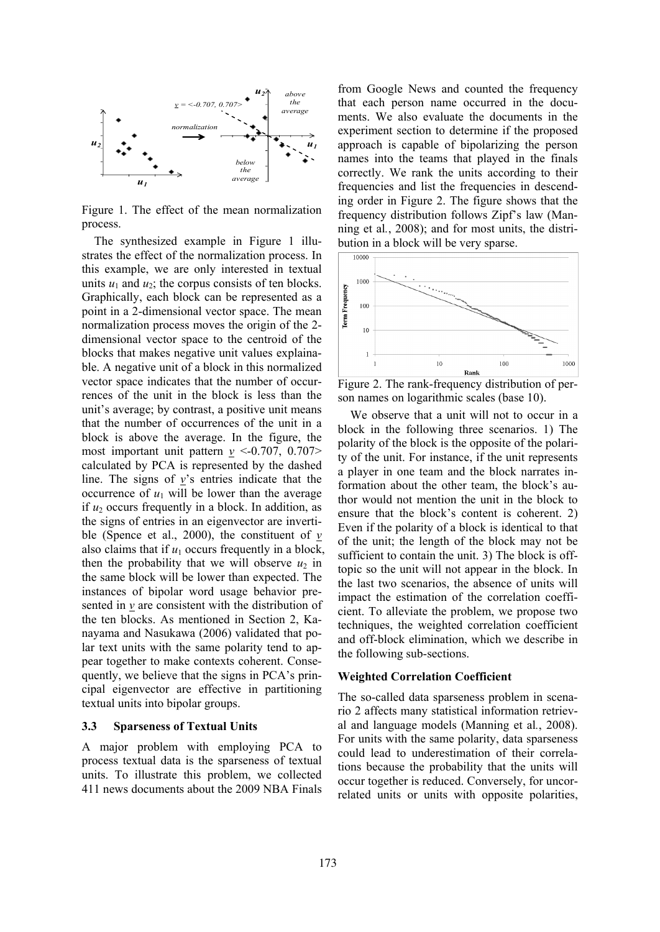

Figure 1. The effect of the mean normalization process.

The synthesized example in Figure 1 illustrates the effect of the normalization process. In this example, we are only interested in textual units  $u_1$  and  $u_2$ ; the corpus consists of ten blocks. Graphically, each block can be represented as a point in a 2-dimensional vector space. The mean normalization process moves the origin of the 2 dimensional vector space to the centroid of the blocks that makes negative unit values explainable. A negative unit of a block in this normalized vector space indicates that the number of occurrences of the unit in the block is less than the unit's average; by contrast, a positive unit means that the number of occurrences of the unit in a block is above the average. In the figure, the most important unit pattern  $\nu \leq -0.707$ , 0.707> calculated by PCA is represented by the dashed line. The signs of *v*'s entries indicate that the occurrence of  $u_1$  will be lower than the average if  $u_2$  occurs frequently in a block. In addition, as the signs of entries in an eigenvector are invertible (Spence et al., 2000), the constituent of  $\gamma$ also claims that if  $u_1$  occurs frequently in a block, then the probability that we will observe  $u_2$  in the same block will be lower than expected. The instances of bipolar word usage behavior presented in *v* are consistent with the distribution of the ten blocks. As mentioned in Section 2, Kanayama and Nasukawa (2006) validated that polar text units with the same polarity tend to appear together to make contexts coherent. Consequently, we believe that the signs in PCA's principal eigenvector are effective in partitioning textual units into bipolar groups.

#### **3.3 Sparseness of Textual Units**

A major problem with employing PCA to process textual data is the sparseness of textual units. To illustrate this problem, we collected 411 news documents about the 2009 NBA Finals from Google News and counted the frequency that each person name occurred in the documents. We also evaluate the documents in the experiment section to determine if the proposed approach is capable of bipolarizing the person names into the teams that played in the finals correctly. We rank the units according to their frequencies and list the frequencies in descending order in Figure 2. The figure shows that the frequency distribution follows Zipf's law (Manning et al*.*, 2008); and for most units, the distribution in a block will be very sparse.



Figure 2. The rank-frequency distribution of person names on logarithmic scales (base 10).

We observe that a unit will not to occur in a block in the following three scenarios. 1) The polarity of the block is the opposite of the polarity of the unit. For instance, if the unit represents a player in one team and the block narrates information about the other team, the block's author would not mention the unit in the block to ensure that the block's content is coherent. 2) Even if the polarity of a block is identical to that of the unit; the length of the block may not be sufficient to contain the unit. 3) The block is offtopic so the unit will not appear in the block. In the last two scenarios, the absence of units will impact the estimation of the correlation coefficient. To alleviate the problem, we propose two techniques, the weighted correlation coefficient and off-block elimination, which we describe in the following sub-sections.

#### **Weighted Correlation Coefficient**

The so-called data sparseness problem in scenario 2 affects many statistical information retrieval and language models (Manning et al*.*, 2008). For units with the same polarity, data sparseness could lead to underestimation of their correlations because the probability that the units will occur together is reduced. Conversely, for uncorrelated units or units with opposite polarities,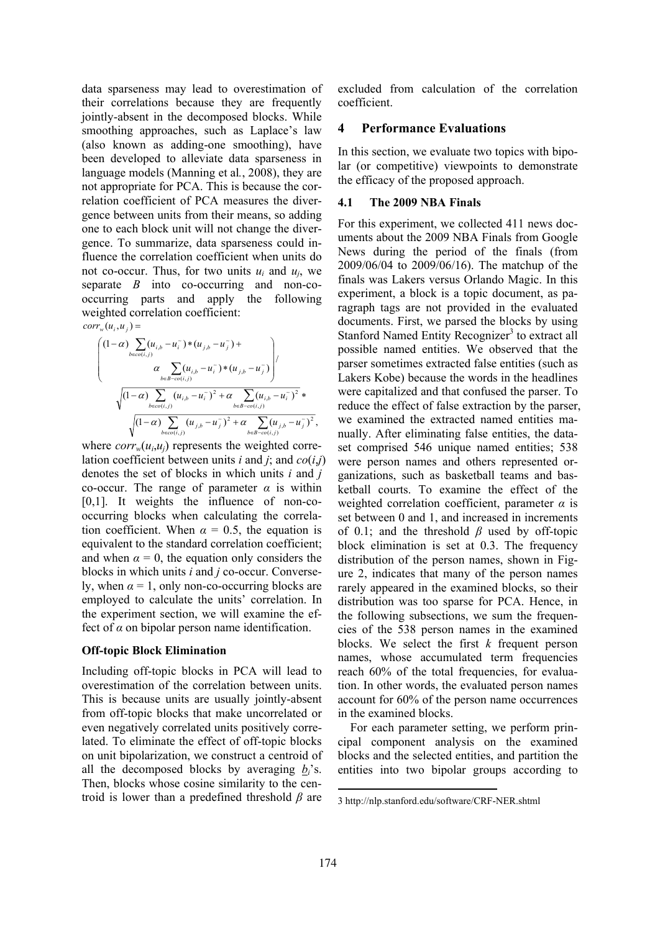data sparseness may lead to overestimation of their correlations because they are frequently jointly-absent in the decomposed blocks. While smoothing approaches, such as Laplace's law (also known as adding-one smoothing), have been developed to alleviate data sparseness in language models (Manning et al*.*, 2008), they are not appropriate for PCA. This is because the correlation coefficient of PCA measures the divergence between units from their means, so adding one to each block unit will not change the divergence. To summarize, data sparseness could influence the correlation coefficient when units do not co-occur. Thus, for two units  $u_i$  and  $u_j$ , we separate *B* into co-occurring and non-cooccurring parts and apply the following weighted correlation coefficient:  $corr_w(u_i, u_j) =$ 

$$
\begin{pmatrix}\n(1-\alpha)\sum_{b \in \mathcal{O}(i,j)} (u_{i,b} - u_i^{\sim}) * (u_{j,b} - u_j^{\sim}) + \\
\alpha \sum_{b \in B - \mathcal{O}(i,j)} (u_{i,b} - u_i^{\sim}) * (u_{j,b} - u_j^{\sim})\n\end{pmatrix}, \\
\sqrt{(1-\alpha)\sum_{b \in \mathcal{O}(i,j)} (u_{i,b} - u_i^{\sim})^2 + \alpha \sum_{b \in B - \mathcal{O}(i,j)} (u_{j,b} - u_j^{\sim})^2 + \alpha \sum_{b \in B - \mathcal{O}(i,j)} (u_{j,b} - u_j^{\sim})^2},
$$

where  $corr_w(u_i, u_j)$  represents the weighted correlation coefficient between units *i* and *j*; and  $co(i,j)$ denotes the set of blocks in which units *i* and *j* co-occur. The range of parameter  $\alpha$  is within [0,1]. It weights the influence of non-cooccurring blocks when calculating the correlation coefficient. When  $\alpha = 0.5$ , the equation is equivalent to the standard correlation coefficient; and when  $\alpha = 0$ , the equation only considers the blocks in which units *i* and *j* co-occur. Conversely, when  $\alpha = 1$ , only non-co-occurring blocks are employed to calculate the units' correlation. In the experiment section, we will examine the effect of  $\alpha$  on bipolar person name identification.

#### **Off-topic Block Elimination**

Including off-topic blocks in PCA will lead to overestimation of the correlation between units. This is because units are usually jointly-absent from off-topic blocks that make uncorrelated or even negatively correlated units positively correlated. To eliminate the effect of off-topic blocks on unit bipolarization, we construct a centroid of all the decomposed blocks by averaging *bi*'s. Then, blocks whose cosine similarity to the centroid is lower than a predefined threshold *β* are

excluded from calculation of the correlation coefficient.

### **4 Performance Evaluations**

In this section, we evaluate two topics with bipolar (or competitive) viewpoints to demonstrate the efficacy of the proposed approach.

#### **4.1 The 2009 NBA Finals**

For this experiment, we collected 411 news documents about the 2009 NBA Finals from Google News during the period of the finals (from 2009/06/04 to 2009/06/16). The matchup of the finals was Lakers versus Orlando Magic. In this experiment, a block is a topic document, as paragraph tags are not provided in the evaluated documents. First, we parsed the blocks by using Stanford Named Entity Recognizer<sup>3</sup> to extract all possible named entities. We observed that the parser sometimes extracted false entities (such as Lakers Kobe) because the words in the headlines were capitalized and that confused the parser. To reduce the effect of false extraction by the parser, we examined the extracted named entities manually. After eliminating false entities, the dataset comprised 546 unique named entities; 538 were person names and others represented organizations, such as basketball teams and basketball courts. To examine the effect of the weighted correlation coefficient, parameter  $\alpha$  is set between 0 and 1, and increased in increments of 0.1; and the threshold *β* used by off-topic block elimination is set at 0.3. The frequency distribution of the person names, shown in Figure 2, indicates that many of the person names rarely appeared in the examined blocks, so their distribution was too sparse for PCA. Hence, in the following subsections, we sum the frequencies of the 538 person names in the examined blocks. We select the first *k* frequent person names, whose accumulated term frequencies reach 60% of the total frequencies, for evaluation. In other words, the evaluated person names account for 60% of the person name occurrences in the examined blocks.

For each parameter setting, we perform principal component analysis on the examined blocks and the selected entities, and partition the entities into two bipolar groups according to

<sup>3</sup> http://nlp.stanford.edu/software/CRF-NER.shtml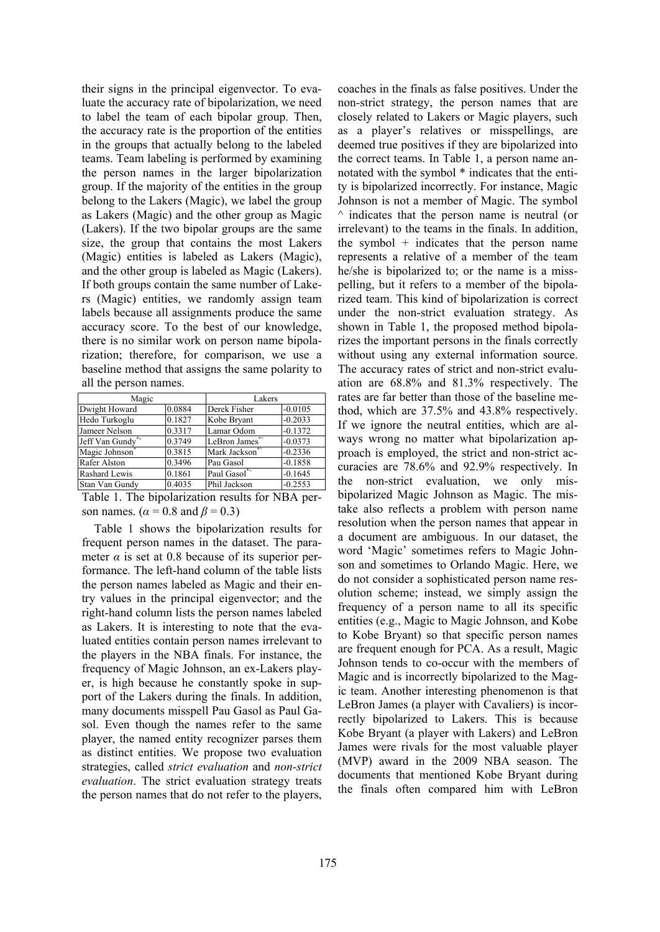their signs in the principal eigenvector. To evaluate the accuracy rate of bipolarization, we need to label the team of each bipolar group. Then, the accuracy rate is the proportion of the entities in the groups that actually belong to the labeled teams. Team labeling is performed by examining the person names in the larger bipolarization group. If the majority of the entities in the group belong to the Lakers (Magic), we label the group as Lakers (Magic) and the other group as Magic (Lakers). If the two bipolar groups are the same size, the group that contains the most Lakers (Magic) entities is labeled as Lakers (Magic), and the other group is labeled as Magic (Lakers). If both groups contain the same number of Lakers (Magic) entities, we randomly assign team labels because all assignments produce the same accuracy score. To the best of our knowledge, there is no similar work on person name bipolarization; therefore, for comparison, we use a baseline method that assigns the same polarity to all the person names.

| Magic            |        | Lakers        |           |
|------------------|--------|---------------|-----------|
| Dwight Howard    | 0.0884 | Derek Fisher  | $-0.0105$ |
| Hedo Turkoglu    | 0.1827 | Kobe Bryant   | $-0.2033$ |
| Jameer Nelson    | 0.3317 | Lamar Odom    | $-0.1372$ |
| Jeff Van Gundy** | 0.3749 | LeBron James* | $-0.0373$ |
| Magic Johnson*   | 0.3815 | Mark Jackson* | $-0.2336$ |
| Rafer Alston     | 0.3496 | Pau Gasol     | $-0.1858$ |
| Rashard Lewis    | 0.1861 | Paul Gasol*+  | $-0.1645$ |
| Stan Van Gundy   | 0.4035 | Phil Jackson  | $-0.2553$ |

Table 1. The bipolarization results for NBA person names. ( $\alpha$  = 0.8 and  $\beta$  = 0.3)

Table 1 shows the bipolarization results for frequent person names in the dataset. The parameter  $\alpha$  is set at 0.8 because of its superior performance. The left-hand column of the table lists the person names labeled as Magic and their entry values in the principal eigenvector; and the right-hand column lists the person names labeled as Lakers. It is interesting to note that the evaluated entities contain person names irrelevant to the players in the NBA finals. For instance, the frequency of Magic Johnson, an ex-Lakers player, is high because he constantly spoke in support of the Lakers during the finals. In addition, many documents misspell Pau Gasol as Paul Gasol. Even though the names refer to the same player, the named entity recognizer parses them as distinct entities. We propose two evaluation strategies, called *strict evaluation* and *non-strict evaluation*. The strict evaluation strategy treats the person names that do not refer to the players, coaches in the finals as false positives. Under the non-strict strategy, the person names that are closely related to Lakers or Magic players, such as a player's relatives or misspellings, are deemed true positives if they are bipolarized into the correct teams. In Table 1, a person name annotated with the symbol \* indicates that the entity is bipolarized incorrectly. For instance, Magic Johnson is not a member of Magic. The symbol  $\land$  indicates that the person name is neutral (or irrelevant) to the teams in the finals. In addition, the symbol + indicates that the person name represents a relative of a member of the team he/she is bipolarized to; or the name is a misspelling, but it refers to a member of the bipolarized team. This kind of bipolarization is correct under the non-strict evaluation strategy. As shown in Table 1, the proposed method bipolarizes the important persons in the finals correctly without using any external information source. The accuracy rates of strict and non-strict evaluation are 68.8% and 81.3% respectively. The rates are far better than those of the baseline method, which are 37.5% and 43.8% respectively. If we ignore the neutral entities, which are always wrong no matter what bipolarization approach is employed, the strict and non-strict accuracies are 78.6% and 92.9% respectively. In the non-strict evaluation, we only misbipolarized Magic Johnson as Magic. The mistake also reflects a problem with person name resolution when the person names that appear in a document are ambiguous. In our dataset, the word 'Magic' sometimes refers to Magic Johnson and sometimes to Orlando Magic. Here, we do not consider a sophisticated person name resolution scheme; instead, we simply assign the frequency of a person name to all its specific entities (e.g., Magic to Magic Johnson, and Kobe to Kobe Bryant) so that specific person names are frequent enough for PCA. As a result, Magic Johnson tends to co-occur with the members of Magic and is incorrectly bipolarized to the Magic team. Another interesting phenomenon is that LeBron James (a player with Cavaliers) is incorrectly bipolarized to Lakers. This is because Kobe Bryant (a player with Lakers) and LeBron James were rivals for the most valuable player (MVP) award in the 2009 NBA season. The documents that mentioned Kobe Bryant during the finals often compared him with LeBron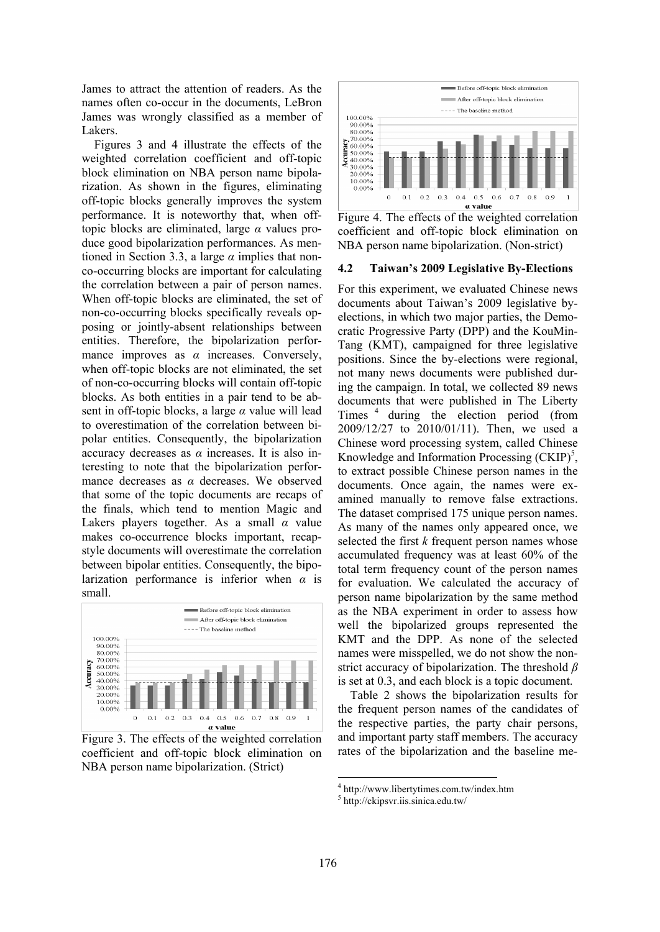James to attract the attention of readers. As the names often co-occur in the documents, LeBron James was wrongly classified as a member of Lakers.

Figures 3 and 4 illustrate the effects of the weighted correlation coefficient and off-topic block elimination on NBA person name bipolarization. As shown in the figures, eliminating off-topic blocks generally improves the system performance. It is noteworthy that, when offtopic blocks are eliminated, large *α* values produce good bipolarization performances. As mentioned in Section 3.3, a large *α* implies that nonco-occurring blocks are important for calculating the correlation between a pair of person names. When off-topic blocks are eliminated, the set of non-co-occurring blocks specifically reveals opposing or jointly-absent relationships between entities. Therefore, the bipolarization performance improves as  $\alpha$  increases. Conversely, when off-topic blocks are not eliminated, the set of non-co-occurring blocks will contain off-topic blocks. As both entities in a pair tend to be absent in off-topic blocks, a large *α* value will lead to overestimation of the correlation between bipolar entities. Consequently, the bipolarization accuracy decreases as *α* increases. It is also interesting to note that the bipolarization performance decreases as *α* decreases. We observed that some of the topic documents are recaps of the finals, which tend to mention Magic and Lakers players together. As a small *α* value makes co-occurrence blocks important, recapstyle documents will overestimate the correlation between bipolar entities. Consequently, the bipolarization performance is inferior when *α* is small.



Figure 3. The effects of the weighted correlation coefficient and off-topic block elimination on NBA person name bipolarization. (Strict)



Figure 4. The effects of the weighted correlation coefficient and off-topic block elimination on NBA person name bipolarization. (Non-strict)

#### **4.2 Taiwan's 2009 Legislative By-Elections**

For this experiment, we evaluated Chinese news documents about Taiwan's 2009 legislative byelections, in which two major parties, the Democratic Progressive Party (DPP) and the KouMin-Tang (KMT), campaigned for three legislative positions. Since the by-elections were regional, not many news documents were published during the campaign. In total, we collected 89 news documents that were published in The Liberty Times<sup>4</sup> during the election period (from 2009/12/27 to 2010/01/11). Then, we used a Chinese word processing system, called Chinese Knowledge and Information Processing  $(CKIP)^5$ , to extract possible Chinese person names in the documents. Once again, the names were examined manually to remove false extractions. The dataset comprised 175 unique person names. As many of the names only appeared once, we selected the first *k* frequent person names whose accumulated frequency was at least 60% of the total term frequency count of the person names for evaluation. We calculated the accuracy of person name bipolarization by the same method as the NBA experiment in order to assess how well the bipolarized groups represented the KMT and the DPP. As none of the selected names were misspelled, we do not show the nonstrict accuracy of bipolarization. The threshold *β* is set at 0.3, and each block is a topic document.

Table 2 shows the bipolarization results for the frequent person names of the candidates of the respective parties, the party chair persons, and important party staff members. The accuracy rates of the bipolarization and the baseline me-

 $^{4}$  http://www.libertytimes.com.tw/index.htm

http://ckipsvr.iis.sinica.edu.tw/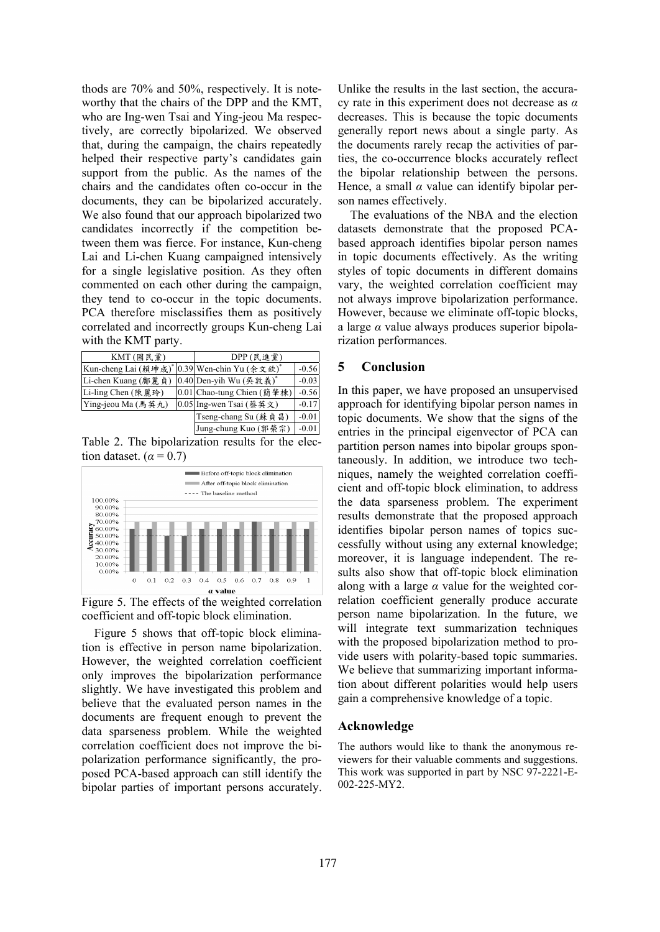thods are 70% and 50%, respectively. It is noteworthy that the chairs of the DPP and the KMT, who are Ing-wen Tsai and Ying-jeou Ma respectively, are correctly bipolarized. We observed that, during the campaign, the chairs repeatedly helped their respective party's candidates gain support from the public. As the names of the chairs and the candidates often co-occur in the documents, they can be bipolarized accurately. We also found that our approach bipolarized two candidates incorrectly if the competition between them was fierce. For instance, Kun-cheng Lai and Li-chen Kuang campaigned intensively for a single legislative position. As they often commented on each other during the campaign, they tend to co-occur in the topic documents. PCA therefore misclassifies them as positively correlated and incorrectly groups Kun-cheng Lai with the KMT party.

| KMT $($ 國民黨 $)$                  |  | DPP (民進黨)                           |         |
|----------------------------------|--|-------------------------------------|---------|
| Kun-cheng Lai (賴坤成) <sup>*</sup> |  | <sup>*</sup> 0.39 Wen-chin Yu (余文欽) | $-0.56$ |
| Li-chen Kuang (鄺麗貞)              |  | 0.40 Den-yih Wu (吳敦義)               | $-0.03$ |
| Li-ling Chen (陳麗玲)               |  | 0.01 Chao-tung Chien (簡 肇棟)         | $-0.56$ |
| Ying-jeou Ma (馬英九)               |  | 0.05 Ing-wen Tsai (蔡英文)             | $-0.17$ |
|                                  |  | Tseng-chang Su (蘇貞昌)                | $-0.01$ |
|                                  |  | Jung-chung Kuo (郭榮宗)                | $-0.01$ |

Table 2. The bipolarization results for the election dataset.  $(\alpha = 0.7)$ 



Figure 5. The effects of the weighted correlation coefficient and off-topic block elimination.

Figure 5 shows that off-topic block elimination is effective in person name bipolarization. However, the weighted correlation coefficient only improves the bipolarization performance slightly. We have investigated this problem and believe that the evaluated person names in the documents are frequent enough to prevent the data sparseness problem. While the weighted correlation coefficient does not improve the bipolarization performance significantly, the proposed PCA-based approach can still identify the bipolar parties of important persons accurately. Unlike the results in the last section, the accuracy rate in this experiment does not decrease as *α* decreases. This is because the topic documents generally report news about a single party. As the documents rarely recap the activities of parties, the co-occurrence blocks accurately reflect the bipolar relationship between the persons. Hence, a small  $\alpha$  value can identify bipolar person names effectively.

The evaluations of the NBA and the election datasets demonstrate that the proposed PCAbased approach identifies bipolar person names in topic documents effectively. As the writing styles of topic documents in different domains vary, the weighted correlation coefficient may not always improve bipolarization performance. However, because we eliminate off-topic blocks, a large *α* value always produces superior bipolarization performances.

# **5 Conclusion**

In this paper, we have proposed an unsupervised approach for identifying bipolar person names in topic documents. We show that the signs of the entries in the principal eigenvector of PCA can partition person names into bipolar groups spontaneously. In addition, we introduce two techniques, namely the weighted correlation coefficient and off-topic block elimination, to address the data sparseness problem. The experiment results demonstrate that the proposed approach identifies bipolar person names of topics successfully without using any external knowledge; moreover, it is language independent. The results also show that off-topic block elimination along with a large *α* value for the weighted correlation coefficient generally produce accurate person name bipolarization. In the future, we will integrate text summarization techniques with the proposed bipolarization method to provide users with polarity-based topic summaries. We believe that summarizing important information about different polarities would help users gain a comprehensive knowledge of a topic.

# **Acknowledge**

The authors would like to thank the anonymous reviewers for their valuable comments and suggestions. This work was supported in part by NSC 97-2221-E-002-225-MY2.